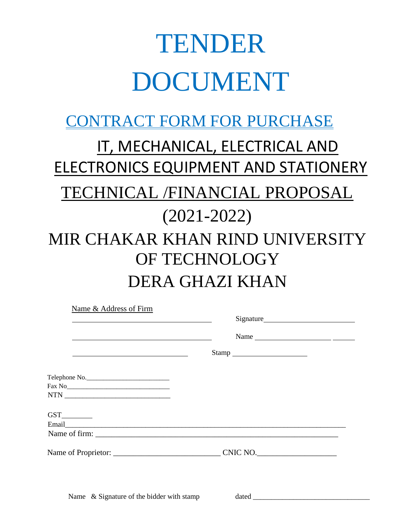# TENDER DOCUMENT

# CONTRACT FORM FOR PURCHASE

# IT, MECHANICAL, ELECTRICAL AND ELECTRONICS EQUIPMENT AND STATIONERY TECHNICAL /FINANCIAL PROPOSAL (2021-2022) MIR CHAKAR KHAN RIND UNIVERSITY OF TECHNOLOGY DERA GHAZI KHAN

| Name & Address of Firm                                                                                                                                                                                                        |                                                                                                                                                                                                                                |  |
|-------------------------------------------------------------------------------------------------------------------------------------------------------------------------------------------------------------------------------|--------------------------------------------------------------------------------------------------------------------------------------------------------------------------------------------------------------------------------|--|
| the control of the control of the control of the control of the control of the control of the control of the control of the control of the control of the control of the control of the control of the control of the control |                                                                                                                                                                                                                                |  |
|                                                                                                                                                                                                                               |                                                                                                                                                                                                                                |  |
| the control of the control of the control of the control of the control of the control of the control of the control of the control of the control of the control of the control of the control of the control of the control | $\begin{tabular}{c} Stamp \hspace{0.02cm} \textbf{21.1} \end{tabular}$                                                                                                                                                         |  |
| Telephone No.                                                                                                                                                                                                                 |                                                                                                                                                                                                                                |  |
|                                                                                                                                                                                                                               | Email explorer and the contract of the contract of the contract of the contract of the contract of the contract of the contract of the contract of the contract of the contract of the contract of the contract of the contrac |  |
|                                                                                                                                                                                                                               |                                                                                                                                                                                                                                |  |

Name  $\&$  Signature of the bidder with stamp dated  $\&$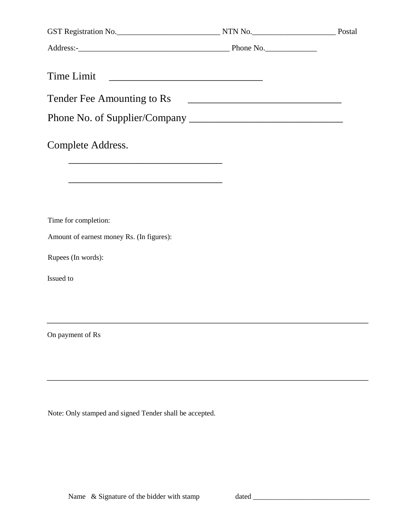| Time Limit                                                  |                                                                                                                      |  |
|-------------------------------------------------------------|----------------------------------------------------------------------------------------------------------------------|--|
| Tender Fee Amounting to Rs                                  | <u> 2000 - 2000 - 2000 - 2000 - 2000 - 2000 - 2000 - 2000 - 2000 - 2000 - 2000 - 2000 - 2000 - 2000 - 2000 - 200</u> |  |
|                                                             |                                                                                                                      |  |
|                                                             |                                                                                                                      |  |
| Complete Address.                                           |                                                                                                                      |  |
|                                                             |                                                                                                                      |  |
|                                                             |                                                                                                                      |  |
| <u> 1989 - Johann Stoff, Amerikaansk politiker (* 1908)</u> |                                                                                                                      |  |
|                                                             |                                                                                                                      |  |
| Time for completion:                                        |                                                                                                                      |  |
| Amount of earnest money Rs. (In figures):                   |                                                                                                                      |  |
| Rupees (In words):                                          |                                                                                                                      |  |
|                                                             |                                                                                                                      |  |
| Issued to                                                   |                                                                                                                      |  |
|                                                             |                                                                                                                      |  |
|                                                             |                                                                                                                      |  |
| On payment of Rs                                            |                                                                                                                      |  |
|                                                             |                                                                                                                      |  |
|                                                             |                                                                                                                      |  |

Note: Only stamped and signed Tender shall be accepted.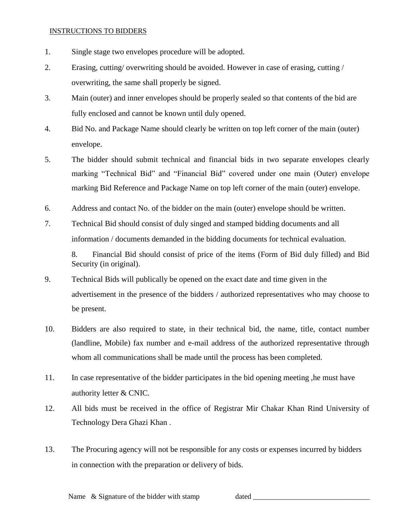### INSTRUCTIONS TO BIDDERS

- 1. Single stage two envelopes procedure will be adopted.
- 2. Erasing, cutting/ overwriting should be avoided. However in case of erasing, cutting / overwriting, the same shall properly be signed.
- 3. Main (outer) and inner envelopes should be properly sealed so that contents of the bid are fully enclosed and cannot be known until duly opened.
- 4. Bid No. and Package Name should clearly be written on top left corner of the main (outer) envelope.
- 5. The bidder should submit technical and financial bids in two separate envelopes clearly marking "Technical Bid" and "Financial Bid" covered under one main (Outer) envelope marking Bid Reference and Package Name on top left corner of the main (outer) envelope.
- 6. Address and contact No. of the bidder on the main (outer) envelope should be written.
- 7. Technical Bid should consist of duly singed and stamped bidding documents and all information / documents demanded in the bidding documents for technical evaluation.

8. Financial Bid should consist of price of the items (Form of Bid duly filled) and Bid Security (in original).

- 9. Technical Bids will publically be opened on the exact date and time given in the advertisement in the presence of the bidders / authorized representatives who may choose to be present.
- 10. Bidders are also required to state, in their technical bid, the name, title, contact number (landline, Mobile) fax number and e-mail address of the authorized representative through whom all communications shall be made until the process has been completed.
- 11. In case representative of the bidder participates in the bid opening meeting ,he must have authority letter & CNIC.
- 12. All bids must be received in the office of Registrar Mir Chakar Khan Rind University of Technology Dera Ghazi Khan .
- 13. The Procuring agency will not be responsible for any costs or expenses incurred by bidders in connection with the preparation or delivery of bids.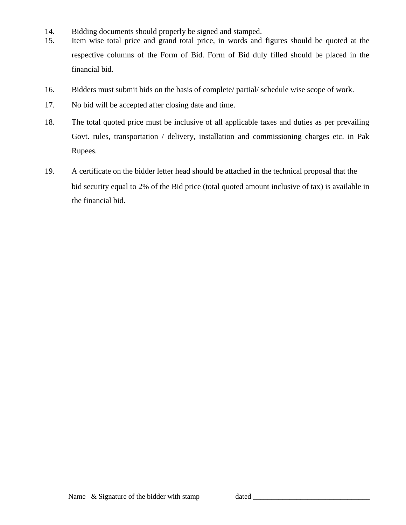- 14. Bidding documents should properly be signed and stamped.
- 15. Item wise total price and grand total price, in words and figures should be quoted at the respective columns of the Form of Bid. Form of Bid duly filled should be placed in the financial bid.
- 16. Bidders must submit bids on the basis of complete/ partial/ schedule wise scope of work.
- 17. No bid will be accepted after closing date and time.
- 18. The total quoted price must be inclusive of all applicable taxes and duties as per prevailing Govt. rules, transportation / delivery, installation and commissioning charges etc. in Pak Rupees.
- 19. A certificate on the bidder letter head should be attached in the technical proposal that the bid security equal to 2% of the Bid price (total quoted amount inclusive of tax) is available in the financial bid.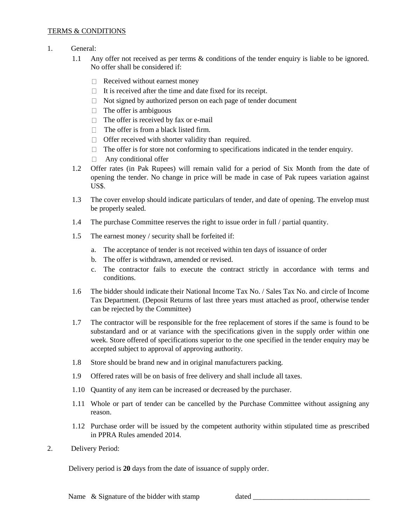#### TERMS & CONDITIONS

- 1. General:
	- 1.1 Any offer not received as per terms & conditions of the tender enquiry is liable to be ignored. No offer shall be considered if:
		- $\Box$  Received without earnest money
		- $\Box$  It is received after the time and date fixed for its receipt.
		- $\Box$  Not signed by authorized person on each page of tender document
		- $\Box$  The offer is ambiguous
		- $\Box$  The offer is received by fax or e-mail
		- $\Box$  The offer is from a black listed firm.
		- $\Box$  Offer received with shorter validity than required.
		- $\Box$  The offer is for store not conforming to specifications indicated in the tender enquiry.
		- □ Any conditional offer
	- 1.2 Offer rates (in Pak Rupees) will remain valid for a period of Six Month from the date of opening the tender. No change in price will be made in case of Pak rupees variation against US\$.
	- 1.3 The cover envelop should indicate particulars of tender, and date of opening. The envelop must be properly sealed.
	- 1.4 The purchase Committee reserves the right to issue order in full / partial quantity.
	- 1.5 The earnest money / security shall be forfeited if:
		- a. The acceptance of tender is not received within ten days of issuance of order
		- b. The offer is withdrawn, amended or revised.
		- c. The contractor fails to execute the contract strictly in accordance with terms and conditions.
	- 1.6 The bidder should indicate their National Income Tax No. / Sales Tax No. and circle of Income Tax Department. (Deposit Returns of last three years must attached as proof, otherwise tender can be rejected by the Committee)
	- 1.7 The contractor will be responsible for the free replacement of stores if the same is found to be substandard and or at variance with the specifications given in the supply order within one week. Store offered of specifications superior to the one specified in the tender enquiry may be accepted subject to approval of approving authority.
	- 1.8 Store should be brand new and in original manufacturers packing.
	- 1.9 Offered rates will be on basis of free delivery and shall include all taxes.
	- 1.10 Quantity of any item can be increased or decreased by the purchaser.
	- 1.11 Whole or part of tender can be cancelled by the Purchase Committee without assigning any reason.
	- 1.12 Purchase order will be issued by the competent authority within stipulated time as prescribed in PPRA Rules amended 2014.
- 2. Delivery Period:

Delivery period is **20** days from the date of issuance of supply order.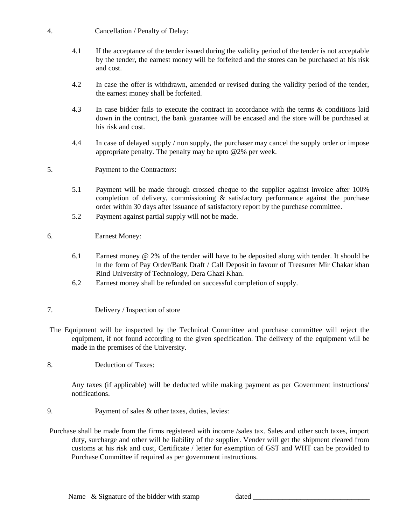- 4. Cancellation / Penalty of Delay:
	- 4.1 If the acceptance of the tender issued during the validity period of the tender is not acceptable by the tender, the earnest money will be forfeited and the stores can be purchased at his risk and cost.
	- 4.2 In case the offer is withdrawn, amended or revised during the validity period of the tender, the earnest money shall be forfeited.
	- 4.3 In case bidder fails to execute the contract in accordance with the terms & conditions laid down in the contract, the bank guarantee will be encased and the store will be purchased at his risk and cost.
	- 4.4 In case of delayed supply / non supply, the purchaser may cancel the supply order or impose appropriate penalty. The penalty may be upto @2% per week.
- 5. Payment to the Contractors:
	- 5.1 Payment will be made through crossed cheque to the supplier against invoice after 100% completion of delivery, commissioning  $\&$  satisfactory performance against the purchase order within 30 days after issuance of satisfactory report by the purchase committee.
	- 5.2 Payment against partial supply will not be made.
- 6. Earnest Money:
	- 6.1 Earnest money @ 2% of the tender will have to be deposited along with tender. It should be in the form of Pay Order/Bank Draft / Call Deposit in favour of Treasurer Mir Chakar khan Rind University of Technology, Dera Ghazi Khan.
	- 6.2 Earnest money shall be refunded on successful completion of supply.
- 7. Delivery / Inspection of store
- The Equipment will be inspected by the Technical Committee and purchase committee will reject the equipment, if not found according to the given specification. The delivery of the equipment will be made in the premises of the University.
- 8. Deduction of Taxes:

Any taxes (if applicable) will be deducted while making payment as per Government instructions/ notifications.

- 9. Payment of sales & other taxes, duties, levies:
- Purchase shall be made from the firms registered with income /sales tax. Sales and other such taxes, import duty, surcharge and other will be liability of the supplier. Vender will get the shipment cleared from customs at his risk and cost, Certificate / letter for exemption of GST and WHT can be provided to Purchase Committee if required as per government instructions.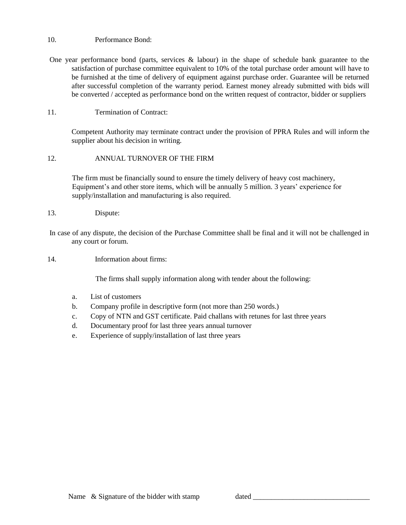#### 10. Performance Bond:

One year performance bond (parts, services & labour) in the shape of schedule bank guarantee to the satisfaction of purchase committee equivalent to 10% of the total purchase order amount will have to be furnished at the time of delivery of equipment against purchase order. Guarantee will be returned after successful completion of the warranty period. Earnest money already submitted with bids will be converted / accepted as performance bond on the written request of contractor, bidder or suppliers

#### 11. Termination of Contract:

Competent Authority may terminate contract under the provision of PPRA Rules and will inform the supplier about his decision in writing.

#### 12. ANNUAL TURNOVER OF THE FIRM

The firm must be financially sound to ensure the timely delivery of heavy cost machinery, Equipment's and other store items, which will be annually 5 million. 3 years' experience for supply/installation and manufacturing is also required.

13. Dispute:

In case of any dispute, the decision of the Purchase Committee shall be final and it will not be challenged in any court or forum.

14. Information about firms:

The firms shall supply information along with tender about the following:

- a. List of customers
- b. Company profile in descriptive form (not more than 250 words.)
- c. Copy of NTN and GST certificate. Paid challans with retunes for last three years
- d. Documentary proof for last three years annual turnover
- e. Experience of supply/installation of last three years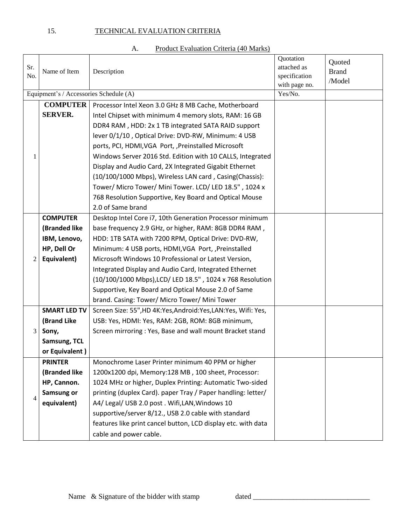# 15. TECHNICAL EVALUATION CRITERIA

| Product Evaluation Criteria (40 Marks)<br>A. |  |
|----------------------------------------------|--|
|----------------------------------------------|--|

| Sr.<br>No.     | Name of Item<br>Description            |                                                                  | Quotation<br>attached as<br>specification<br>with page no. | Quoted<br><b>Brand</b><br>/Model |
|----------------|----------------------------------------|------------------------------------------------------------------|------------------------------------------------------------|----------------------------------|
|                | Equipment's / Accessories Schedule (A) |                                                                  | Yes/No.                                                    |                                  |
|                | <b>COMPUTER</b>                        | Processor Intel Xeon 3.0 GHz 8 MB Cache, Motherboard             |                                                            |                                  |
|                | <b>SERVER.</b>                         | Intel Chipset with minimum 4 memory slots, RAM: 16 GB            |                                                            |                                  |
|                |                                        | DDR4 RAM, HDD: 2x 1 TB integrated SATA RAID support              |                                                            |                                  |
|                |                                        | lever 0/1/10, Optical Drive: DVD-RW, Minimum: 4 USB              |                                                            |                                  |
|                |                                        | ports, PCI, HDMI, VGA Port, , Preinstalled Microsoft             |                                                            |                                  |
| 1              |                                        | Windows Server 2016 Std. Edition with 10 CALLS, Integrated       |                                                            |                                  |
|                |                                        | Display and Audio Card, 2X Integrated Gigabit Ethernet           |                                                            |                                  |
|                |                                        | (10/100/1000 Mbps), Wireless LAN card, Casing(Chassis):          |                                                            |                                  |
|                |                                        | Tower/ Micro Tower/ Mini Tower. LCD/ LED 18.5", 1024 x           |                                                            |                                  |
|                |                                        | 768 Resolution Supportive, Key Board and Optical Mouse           |                                                            |                                  |
|                |                                        | 2.0 of Same brand                                                |                                                            |                                  |
|                | <b>COMPUTER</b>                        | Desktop Intel Core i7, 10th Generation Processor minimum         |                                                            |                                  |
|                | (Branded like                          | base frequency 2.9 GHz, or higher, RAM: 8GB DDR4 RAM,            |                                                            |                                  |
|                | IBM, Lenovo,                           | HDD: 1TB SATA with 7200 RPM, Optical Drive: DVD-RW,              |                                                            |                                  |
|                | HP, Dell Or                            | Minimum: 4 USB ports, HDMI, VGA Port, , Preinstalled             |                                                            |                                  |
| 2              | Equivalent)                            | Microsoft Windows 10 Professional or Latest Version,             |                                                            |                                  |
|                |                                        | Integrated Display and Audio Card, Integrated Ethernet           |                                                            |                                  |
|                |                                        | (10/100/1000 Mbps), LCD/ LED 18.5", 1024 x 768 Resolution        |                                                            |                                  |
|                |                                        | Supportive, Key Board and Optical Mouse 2.0 of Same              |                                                            |                                  |
|                |                                        | brand. Casing: Tower/ Micro Tower/ Mini Tower                    |                                                            |                                  |
|                | <b>SMART LED TV</b>                    | Screen Size: 55", HD 4K: Yes, Android: Yes, LAN: Yes, Wifi: Yes, |                                                            |                                  |
|                | (Brand Like                            | USB: Yes, HDMI: Yes, RAM: 2GB, ROM: 8GB minimum,                 |                                                            |                                  |
| 3              | Sony,                                  | Screen mirroring: Yes, Base and wall mount Bracket stand         |                                                            |                                  |
|                | Samsung, TCL                           |                                                                  |                                                            |                                  |
|                | or Equivalent)                         |                                                                  |                                                            |                                  |
|                | <b>PRINTER</b>                         | Monochrome Laser Printer minimum 40 PPM or higher                |                                                            |                                  |
|                | (Branded like                          | 1200x1200 dpi, Memory:128 MB, 100 sheet, Processor:              |                                                            |                                  |
|                | HP, Cannon.                            | 1024 MHz or higher, Duplex Printing: Automatic Two-sided         |                                                            |                                  |
| $\overline{4}$ | Samsung or                             | printing (duplex Card). paper Tray / Paper handling: letter/     |                                                            |                                  |
|                | equivalent)                            | A4/ Legal/ USB 2.0 post . Wifi, LAN, Windows 10                  |                                                            |                                  |
|                |                                        | supportive/server 8/12., USB 2.0 cable with standard             |                                                            |                                  |
|                |                                        | features like print cancel button, LCD display etc. with data    |                                                            |                                  |
|                |                                        | cable and power cable.                                           |                                                            |                                  |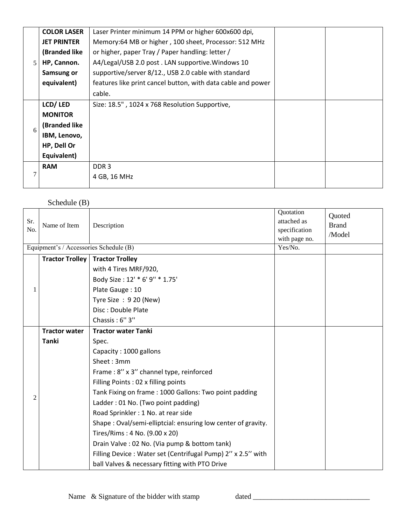|   | <b>COLOR LASER</b> | Laser Printer minimum 14 PPM or higher 600x600 dpi,          |  |
|---|--------------------|--------------------------------------------------------------|--|
|   | <b>JET PRINTER</b> | Memory:64 MB or higher, 100 sheet, Processor: 512 MHz        |  |
|   | (Branded like      | or higher, paper Tray / Paper handling: letter /             |  |
| 5 | HP, Cannon.        | A4/Legal/USB 2.0 post. LAN supportive. Windows 10            |  |
|   | Samsung or         | supportive/server 8/12., USB 2.0 cable with standard         |  |
|   | equivalent)        | features like print cancel button, with data cable and power |  |
|   |                    | cable.                                                       |  |
|   | LCD/LED            | Size: 18.5", 1024 x 768 Resolution Supportive,               |  |
|   | <b>MONITOR</b>     |                                                              |  |
| 6 | (Branded like      |                                                              |  |
|   | IBM, Lenovo,       |                                                              |  |
|   | HP, Dell Or        |                                                              |  |
|   | Equivalent)        |                                                              |  |
|   | <b>RAM</b>         | DDR <sub>3</sub>                                             |  |
|   |                    | 4 GB, 16 MHz                                                 |  |
|   |                    |                                                              |  |

# Schedule (B)

| Sr.<br>No.     | Name of Item<br>Equipment's / Accessories Schedule (B) | Description                                                  | Quotation<br>attached as<br>specification<br>with page no.<br>Yes/No. | Quoted<br><b>Brand</b><br>/Model |
|----------------|--------------------------------------------------------|--------------------------------------------------------------|-----------------------------------------------------------------------|----------------------------------|
|                | <b>Tractor Trolley</b>                                 | <b>Tractor Trolley</b>                                       |                                                                       |                                  |
|                |                                                        | with 4 Tires MRF/920,                                        |                                                                       |                                  |
|                |                                                        | Body Size: 12' * 6' 9" * 1.75'                               |                                                                       |                                  |
| 1              |                                                        | Plate Gauge: 10                                              |                                                                       |                                  |
|                |                                                        | Tyre Size: 9 20 (New)                                        |                                                                       |                                  |
|                |                                                        | Disc: Double Plate                                           |                                                                       |                                  |
|                |                                                        | Chassis: 6"3"                                                |                                                                       |                                  |
|                | <b>Tractor water</b>                                   | <b>Tractor water Tanki</b>                                   |                                                                       |                                  |
|                | <b>Tanki</b>                                           | Spec.                                                        |                                                                       |                                  |
|                |                                                        | Capacity: 1000 gallons                                       |                                                                       |                                  |
|                |                                                        | Sheet: 3mm                                                   |                                                                       |                                  |
|                |                                                        | Frame: 8" x 3" channel type, reinforced                      |                                                                       |                                  |
|                |                                                        | Filling Points: 02 x filling points                          |                                                                       |                                  |
| $\overline{c}$ |                                                        | Tank Fixing on frame: 1000 Gallons: Two point padding        |                                                                       |                                  |
|                |                                                        | Ladder: 01 No. (Two point padding)                           |                                                                       |                                  |
|                |                                                        | Road Sprinkler: 1 No. at rear side                           |                                                                       |                                  |
|                |                                                        | Shape: Oval/semi-elliptcial: ensuring low center of gravity. |                                                                       |                                  |
|                |                                                        | Tires/Rims: 4 No. (9.00 x 20)                                |                                                                       |                                  |
|                |                                                        | Drain Valve : 02 No. (Via pump & bottom tank)                |                                                                       |                                  |
|                |                                                        | Filling Device: Water set (Centrifugal Pump) 2" x 2.5" with  |                                                                       |                                  |
|                |                                                        | ball Valves & necessary fitting with PTO Drive               |                                                                       |                                  |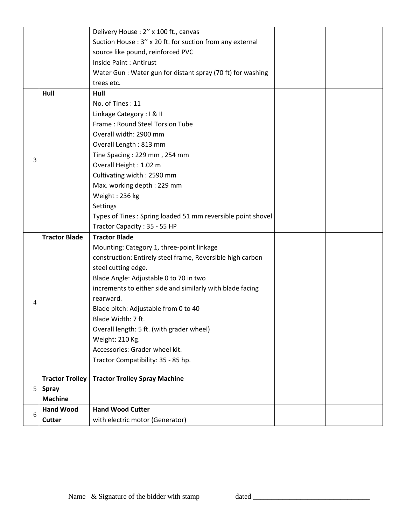|   |                        | Delivery House: 2" x 100 ft., canvas                        |  |
|---|------------------------|-------------------------------------------------------------|--|
|   |                        | Suction House: 3" x 20 ft. for suction from any external    |  |
|   |                        | source like pound, reinforced PVC                           |  |
|   |                        | Inside Paint : Antirust                                     |  |
|   |                        | Water Gun: Water gun for distant spray (70 ft) for washing  |  |
|   |                        | trees etc.                                                  |  |
|   | Hull                   | Hull                                                        |  |
|   |                        | No. of Tines: 11                                            |  |
|   |                        | Linkage Category: I & II                                    |  |
|   |                        | Frame: Round Steel Torsion Tube                             |  |
|   |                        | Overall width: 2900 mm                                      |  |
|   |                        | Overall Length: 813 mm                                      |  |
|   |                        | Tine Spacing: 229 mm, 254 mm                                |  |
| 3 |                        | Overall Height: 1.02 m                                      |  |
|   |                        | Cultivating width: 2590 mm                                  |  |
|   |                        | Max. working depth: 229 mm                                  |  |
|   |                        | Weight: 236 kg                                              |  |
|   |                        | Settings                                                    |  |
|   |                        | Types of Tines: Spring loaded 51 mm reversible point shovel |  |
|   |                        | Tractor Capacity: 35 - 55 HP                                |  |
|   | <b>Tractor Blade</b>   | <b>Tractor Blade</b>                                        |  |
|   |                        | Mounting: Category 1, three-point linkage                   |  |
|   |                        | construction: Entirely steel frame, Reversible high carbon  |  |
|   |                        | steel cutting edge.                                         |  |
|   |                        | Blade Angle: Adjustable 0 to 70 in two                      |  |
|   |                        | increments to either side and similarly with blade facing   |  |
| 4 |                        | rearward.                                                   |  |
|   |                        | Blade pitch: Adjustable from 0 to 40                        |  |
|   |                        | Blade Width: 7 ft.                                          |  |
|   |                        | Overall length: 5 ft. (with grader wheel)                   |  |
|   |                        | Weight: 210 Kg.                                             |  |
|   |                        | Accessories: Grader wheel kit.                              |  |
|   |                        | Tractor Compatibility: 35 - 85 hp.                          |  |
|   | <b>Tractor Trolley</b> | <b>Tractor Trolley Spray Machine</b>                        |  |
| 5 | <b>Spray</b>           |                                                             |  |
|   | <b>Machine</b>         |                                                             |  |
|   | <b>Hand Wood</b>       | <b>Hand Wood Cutter</b>                                     |  |
| 6 | <b>Cutter</b>          | with electric motor (Generator)                             |  |
|   |                        |                                                             |  |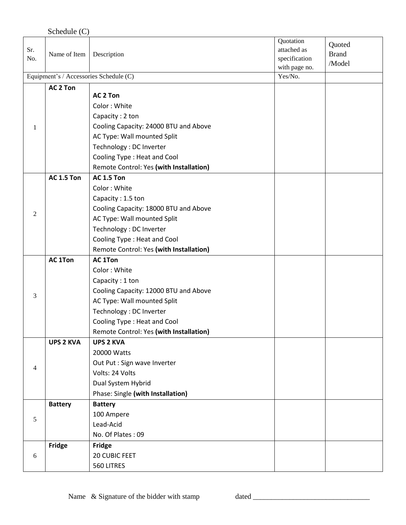|                | Schedule (C)        |                                         |                          |              |
|----------------|---------------------|-----------------------------------------|--------------------------|--------------|
|                |                     |                                         | Quotation                | Quoted       |
| Sr.<br>No.     | Name of Item        | Description                             | attached as              | <b>Brand</b> |
|                |                     |                                         | specification            | /Model       |
|                |                     | Equipment's / Accessories Schedule (C)  | with page no.<br>Yes/No. |              |
|                | AC <sub>2</sub> Ton |                                         |                          |              |
|                |                     | <b>AC 2 Ton</b>                         |                          |              |
|                |                     | Color: White                            |                          |              |
|                |                     | Capacity: 2 ton                         |                          |              |
| 1              |                     | Cooling Capacity: 24000 BTU and Above   |                          |              |
|                |                     | AC Type: Wall mounted Split             |                          |              |
|                |                     | Technology : DC Inverter                |                          |              |
|                |                     | Cooling Type: Heat and Cool             |                          |              |
|                |                     | Remote Control: Yes (with Installation) |                          |              |
|                | <b>AC 1.5 Ton</b>   | <b>AC 1.5 Ton</b>                       |                          |              |
|                |                     | Color: White                            |                          |              |
|                |                     | Capacity: 1.5 ton                       |                          |              |
| $\overline{c}$ |                     | Cooling Capacity: 18000 BTU and Above   |                          |              |
|                |                     | AC Type: Wall mounted Split             |                          |              |
|                |                     | Technology : DC Inverter                |                          |              |
|                |                     | Cooling Type: Heat and Cool             |                          |              |
|                |                     | Remote Control: Yes (with Installation) |                          |              |
|                | <b>AC 1Ton</b>      | <b>AC 1Ton</b>                          |                          |              |
|                |                     | Color: White                            |                          |              |
|                |                     | Capacity: 1 ton                         |                          |              |
| 3              |                     | Cooling Capacity: 12000 BTU and Above   |                          |              |
|                |                     | AC Type: Wall mounted Split             |                          |              |
|                |                     | Technology : DC Inverter                |                          |              |
|                |                     | Cooling Type: Heat and Cool             |                          |              |
|                |                     | Remote Control: Yes (with Installation) |                          |              |
|                | <b>UPS 2 KVA</b>    | <b>UPS 2 KVA</b>                        |                          |              |
|                |                     | 20000 Watts                             |                          |              |
| $\overline{4}$ |                     | Out Put : Sign wave Inverter            |                          |              |
|                |                     | Volts: 24 Volts                         |                          |              |
|                |                     | Dual System Hybrid                      |                          |              |
|                |                     | Phase: Single (with Installation)       |                          |              |
|                | <b>Battery</b>      | <b>Battery</b>                          |                          |              |
| 5              |                     | 100 Ampere                              |                          |              |
|                |                     | Lead-Acid                               |                          |              |
|                |                     | No. Of Plates: 09                       |                          |              |
|                | <b>Fridge</b>       | Fridge                                  |                          |              |
| 6              |                     | 20 CUBIC FEET                           |                          |              |
|                |                     | 560 LITRES                              |                          |              |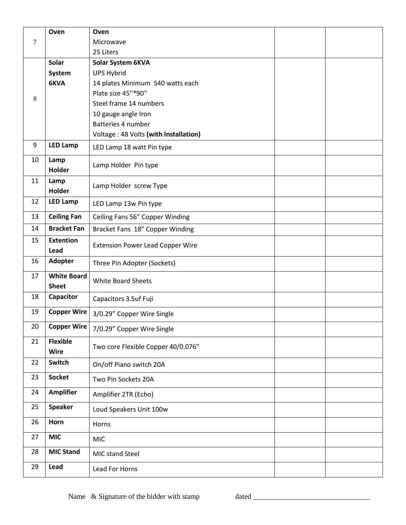|    | Oven                               | Oven                                    |  |
|----|------------------------------------|-----------------------------------------|--|
| 7  |                                    | Microwave                               |  |
|    |                                    | 25 Liters                               |  |
|    | Solar                              | Solar System 6KVA                       |  |
|    | System                             | <b>UPS Hybrid</b>                       |  |
|    | 6KVA                               | 14 plates Minimum 540 watts each        |  |
| 8  |                                    | Plate size 45"*90"                      |  |
|    |                                    | Steel frame 14 numbers                  |  |
|    |                                    | 10 gauge angle Iron                     |  |
|    |                                    | Batteries 4 number                      |  |
|    |                                    | Voltage: 48 Volts (with Installation)   |  |
| 9  | <b>LED Lamp</b>                    | LED Lamp 18 watt Pin type               |  |
| 10 | Lamp<br><b>Holder</b>              | Lamp Holder Pin type                    |  |
| 11 | Lamp<br>Holder                     | Lamp Holder screw Type                  |  |
| 12 | <b>LED Lamp</b>                    | LED Lamp 13w Pin type                   |  |
| 13 | <b>Ceiling Fan</b>                 | Ceiling Fans 56" Copper Winding         |  |
| 14 | <b>Bracket Fan</b>                 | Bracket Fans 18" Copper Winding         |  |
| 15 | <b>Extention</b><br>Lead           | <b>Extension Power Lead Copper Wire</b> |  |
| 16 | <b>Adopter</b>                     | Three Pin Adopter (Sockets)             |  |
| 17 | <b>White Board</b><br><b>Sheet</b> | <b>White Board Sheets</b>               |  |
| 18 | Capacitor                          | Capacitors 3.5uf Fuji                   |  |
| 19 | <b>Copper Wire</b>                 | 3/0.29" Copper Wire Single              |  |
| 20 | <b>Copper Wire</b>                 | 7/0.29" Copper Wire Single              |  |
| 21 | <b>Flexible</b><br><b>Wire</b>     | Two core Flexible Copper 40/0.076"      |  |
| 22 | Switch                             | On/off Piano switch 20A                 |  |
| 23 | <b>Socket</b>                      | Two Pin Sockets 20A                     |  |
| 24 | <b>Amplifier</b>                   | Amplifier 2TR (Echo)                    |  |
| 25 | <b>Speaker</b>                     | Loud Speakers Unit 100w                 |  |
| 26 | Horn                               | Horns                                   |  |
| 27 | <b>MIC</b>                         | <b>MIC</b>                              |  |
| 28 | <b>MIC Stand</b>                   | MIC stand Steel                         |  |
| 29 | Lead                               | Lead For Horns                          |  |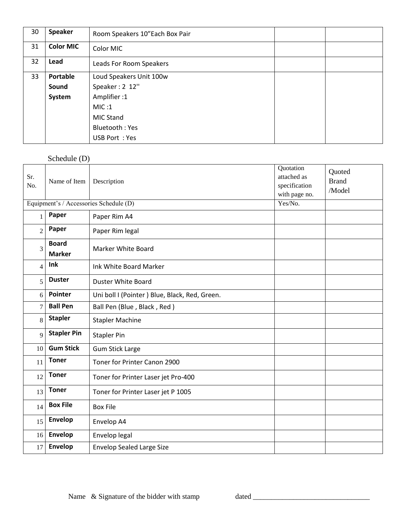| 30 | <b>Speaker</b>   | Room Speakers 10"Each Box Pair |  |
|----|------------------|--------------------------------|--|
| 31 | <b>Color MIC</b> | Color MIC                      |  |
| 32 | Lead             | Leads For Room Speakers        |  |
| 33 | <b>Portable</b>  | Loud Speakers Unit 100w        |  |
|    | Sound            | Speaker: 2 12"                 |  |
|    | System           | Amplifier:1                    |  |
|    |                  | MIC:1                          |  |
|    |                  | MIC Stand                      |  |
|    |                  | Bluetooth: Yes                 |  |
|    |                  | USB Port: Yes                  |  |

# Schedule (D)

| Sr.<br>No.     | Name of Item                  | Description                                   | Quotation<br>attached as<br>specification<br>with page no. | Quoted<br><b>Brand</b><br>/Model |
|----------------|-------------------------------|-----------------------------------------------|------------------------------------------------------------|----------------------------------|
|                |                               | Equipment's / Accessories Schedule (D)        | Yes/No.                                                    |                                  |
| 1              | Paper                         | Paper Rim A4                                  |                                                            |                                  |
| $\overline{2}$ | Paper                         | Paper Rim legal                               |                                                            |                                  |
| 3              | <b>Board</b><br><b>Marker</b> | Marker White Board                            |                                                            |                                  |
| $\overline{4}$ | Ink                           | Ink White Board Marker                        |                                                            |                                  |
| 5              | <b>Duster</b>                 | <b>Duster White Board</b>                     |                                                            |                                  |
| 6              | <b>Pointer</b>                | Uni boll I (Pointer) Blue, Black, Red, Green. |                                                            |                                  |
| $\overline{7}$ | <b>Ball Pen</b>               | Ball Pen (Blue, Black, Red)                   |                                                            |                                  |
| 8              | <b>Stapler</b>                | <b>Stapler Machine</b>                        |                                                            |                                  |
| 9              | <b>Stapler Pin</b>            | <b>Stapler Pin</b>                            |                                                            |                                  |
| 10             | <b>Gum Stick</b>              | <b>Gum Stick Large</b>                        |                                                            |                                  |
| 11             | <b>Toner</b>                  | Toner for Printer Canon 2900                  |                                                            |                                  |
| 12             | <b>Toner</b>                  | Toner for Printer Laser jet Pro-400           |                                                            |                                  |
| 13             | <b>Toner</b>                  | Toner for Printer Laser jet P 1005            |                                                            |                                  |
| 14             | <b>Box File</b>               | <b>Box File</b>                               |                                                            |                                  |
| 15             | Envelop                       | Envelop A4                                    |                                                            |                                  |
| 16             | Envelop                       | Envelop legal                                 |                                                            |                                  |
| 17             | Envelop                       | <b>Envelop Sealed Large Size</b>              |                                                            |                                  |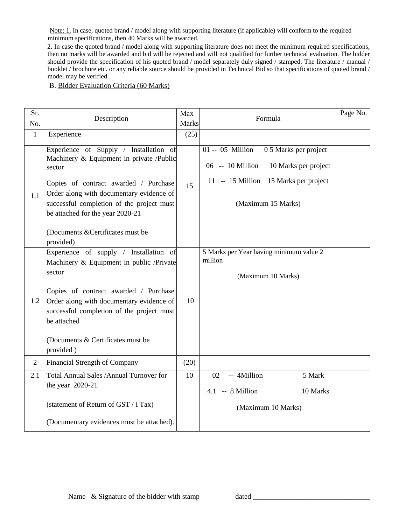Note: 1. In case, quoted brand / model along with supporting literature (if applicable) will conform to the required minimum specifications, then 40 Marks will be awarded.

2. In case the quoted brand / model along with supporting literature does not meet the minimum required specifications, then no marks will be awarded and bid will be rejected and will not qualified for further technical evaluation. The bidder should provide the specification of his quoted brand / model separately duly signed / stamped. The literature / manual / booklet / brochure etc. or any reliable source should be provided in Technical Bid so that specifications of quoted brand / model may be verified.

#### B. Bidder Evaluation Criteria (60 Marks)

| Sr.<br>No.     | Description                                                                                                                                                                                                                                                                                     | Max<br>Marks | Formula                                                                                                                                              | Page No. |
|----------------|-------------------------------------------------------------------------------------------------------------------------------------------------------------------------------------------------------------------------------------------------------------------------------------------------|--------------|------------------------------------------------------------------------------------------------------------------------------------------------------|----------|
| $\mathbf{1}$   | Experience                                                                                                                                                                                                                                                                                      | (25)         |                                                                                                                                                      |          |
| 1.1            | Experience of Supply / Installation of<br>Machinery & Equipment in private /Public<br>sector<br>Copies of contract awarded / Purchase<br>Order along with documentary evidence of<br>successful completion of the project must<br>be attached for the year 2020-21                              | 15           | 01 -- 05 Million<br>0 5 Marks per project<br>06 -- 10 Million<br>10 Marks per project<br>11 -- 15 Million 15 Marks per project<br>(Maximum 15 Marks) |          |
|                | (Documents & Certificates must be<br>provided)                                                                                                                                                                                                                                                  |              |                                                                                                                                                      |          |
| 1.2            | Experience of supply / Installation of<br>Machinery & Equipment in public /Private<br>sector<br>Copies of contract awarded / Purchase<br>Order along with documentary evidence of<br>successful completion of the project must<br>be attached<br>(Documents & Certificates must be<br>provided) | 10           | 5 Marks per Year having minimum value 2<br>million<br>(Maximum 10 Marks)                                                                             |          |
| $\overline{2}$ | Financial Strength of Company                                                                                                                                                                                                                                                                   | (20)         |                                                                                                                                                      |          |
| 2.1            | Total Annual Sales /Annual Turnover for<br>the year 2020-21<br>(statement of Return of GST / I Tax)<br>(Documentary evidences must be attached).                                                                                                                                                | 10           | -- 4Million<br>5 Mark<br>02<br>$4.1 - 8$ Million<br>10 Marks<br>(Maximum 10 Marks)                                                                   |          |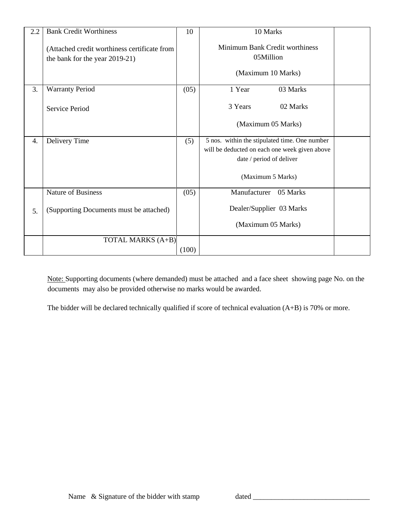| 2.2 | <b>Bank Credit Worthiness</b>                                                  | 10    | 10 Marks                                                                                                                   |  |
|-----|--------------------------------------------------------------------------------|-------|----------------------------------------------------------------------------------------------------------------------------|--|
|     | (Attached credit worthiness certificate from<br>the bank for the year 2019-21) |       | Minimum Bank Credit worthiness<br>05Million                                                                                |  |
|     |                                                                                |       | (Maximum 10 Marks)                                                                                                         |  |
| 3.  | <b>Warranty Period</b>                                                         | (05)  | 1 Year<br>03 Marks                                                                                                         |  |
|     | Service Period                                                                 |       | 3 Years<br>02 Marks                                                                                                        |  |
|     |                                                                                |       | (Maximum 05 Marks)                                                                                                         |  |
| 4.  | Delivery Time                                                                  | (5)   | 5 nos. within the stipulated time. One number<br>will be deducted on each one week given above<br>date / period of deliver |  |
|     |                                                                                |       | (Maximum 5 Marks)                                                                                                          |  |
|     | Nature of Business                                                             | (05)  | Manufacturer<br>05 Marks                                                                                                   |  |
| 5.  | (Supporting Documents must be attached)                                        |       | Dealer/Supplier 03 Marks                                                                                                   |  |
|     |                                                                                |       | (Maximum 05 Marks)                                                                                                         |  |
|     | <b>TOTAL MARKS (A+B)</b>                                                       |       |                                                                                                                            |  |
|     |                                                                                | (100) |                                                                                                                            |  |

Note: Supporting documents (where demanded) must be attached and a face sheet showing page No. on the documents may also be provided otherwise no marks would be awarded.

The bidder will be declared technically qualified if score of technical evaluation (A+B) is 70% or more.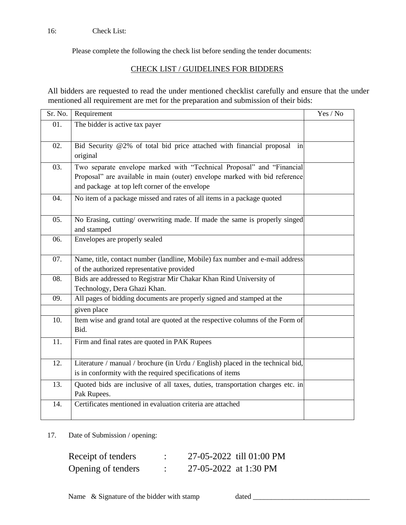## 16: Check List:

Please complete the following the check list before sending the tender documents:

## CHECK LIST / GUIDELINES FOR BIDDERS

All bidders are requested to read the under mentioned checklist carefully and ensure that the under mentioned all requirement are met for the preparation and submission of their bids:

|     | Sr. No.   Requirement                                                           | Yes / No |
|-----|---------------------------------------------------------------------------------|----------|
| 01. | The bidder is active tax payer                                                  |          |
|     |                                                                                 |          |
| 02. | Bid Security @2% of total bid price attached with financial proposal in         |          |
|     | original                                                                        |          |
| 03. | Two separate envelope marked with "Technical Proposal" and "Financial           |          |
|     | Proposal" are available in main (outer) envelope marked with bid reference      |          |
|     | and package at top left corner of the envelope                                  |          |
| 04. | No item of a package missed and rates of all items in a package quoted          |          |
|     |                                                                                 |          |
| 05. | No Erasing, cutting/ overwriting made. If made the same is properly singed      |          |
|     | and stamped                                                                     |          |
| 06. | Envelopes are properly sealed                                                   |          |
|     |                                                                                 |          |
| 07. | Name, title, contact number (landline, Mobile) fax number and e-mail address    |          |
|     | of the authorized representative provided                                       |          |
| 08. | Bids are addressed to Registrar Mir Chakar Khan Rind University of              |          |
|     | Technology, Dera Ghazi Khan.                                                    |          |
| 09. | All pages of bidding documents are properly signed and stamped at the           |          |
|     | given place                                                                     |          |
| 10. | Item wise and grand total are quoted at the respective columns of the Form of   |          |
|     | Bid.                                                                            |          |
| 11. | Firm and final rates are quoted in PAK Rupees                                   |          |
|     |                                                                                 |          |
| 12. | Literature / manual / brochure (in Urdu / English) placed in the technical bid, |          |
|     | is in conformity with the required specifications of items                      |          |
| 13. | Quoted bids are inclusive of all taxes, duties, transportation charges etc. in  |          |
|     | Pak Rupees.                                                                     |          |
| 14. | Certificates mentioned in evaluation criteria are attached                      |          |
|     |                                                                                 |          |

17. Date of Submission / opening:

| Receipt of tenders |                       | 27-05-2022 till 01:00 PM |
|--------------------|-----------------------|--------------------------|
| Opening of tenders | 27-05-2022 at 1:30 PM |                          |

Name & Signature of the bidder with stamp dated \_\_\_\_\_\_\_\_\_\_\_\_\_\_\_\_\_\_\_\_\_\_\_\_\_\_\_\_\_\_\_\_\_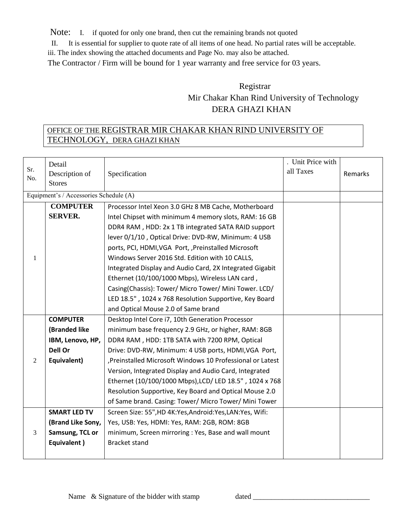Note: I. if quoted for only one brand, then cut the remaining brands not quoted

II. It is essential for supplier to quote rate of all items of one head. No partial rates will be acceptable.

iii. The index showing the attached documents and Page No. may also be attached.

The Contractor / Firm will be bound for 1 year warranty and free service for 03 years.

# Registrar Mir Chakar Khan Rind University of Technology DERA GHAZI KHAN

# OFFICE OF THE REGISTRAR MIR CHAKAR KHAN RIND UNIVERSITY OF TECHNOLOGY, DERA GHAZI KHAN

| Sr.<br>No. | Detail<br>Description of<br><b>Stores</b> | Specification                                               | . Unit Price with<br>all Taxes | Remarks |
|------------|-------------------------------------------|-------------------------------------------------------------|--------------------------------|---------|
|            | Equipment's / Accessories Schedule (A)    |                                                             |                                |         |
|            | <b>COMPUTER</b>                           | Processor Intel Xeon 3.0 GHz 8 MB Cache, Motherboard        |                                |         |
|            | <b>SERVER.</b>                            | Intel Chipset with minimum 4 memory slots, RAM: 16 GB       |                                |         |
|            |                                           | DDR4 RAM, HDD: 2x 1 TB integrated SATA RAID support         |                                |         |
|            |                                           | lever 0/1/10, Optical Drive: DVD-RW, Minimum: 4 USB         |                                |         |
|            |                                           | ports, PCI, HDMI, VGA Port, , Preinstalled Microsoft        |                                |         |
| 1          |                                           | Windows Server 2016 Std. Edition with 10 CALLS,             |                                |         |
|            |                                           | Integrated Display and Audio Card, 2X Integrated Gigabit    |                                |         |
|            |                                           | Ethernet (10/100/1000 Mbps), Wireless LAN card,             |                                |         |
|            |                                           | Casing(Chassis): Tower/ Micro Tower/ Mini Tower. LCD/       |                                |         |
|            |                                           | LED 18.5", 1024 x 768 Resolution Supportive, Key Board      |                                |         |
|            |                                           | and Optical Mouse 2.0 of Same brand                         |                                |         |
|            | <b>COMPUTER</b>                           | Desktop Intel Core i7, 10th Generation Processor            |                                |         |
|            | (Branded like                             | minimum base frequency 2.9 GHz, or higher, RAM: 8GB         |                                |         |
|            | IBM, Lenovo, HP,                          | DDR4 RAM, HDD: 1TB SATA with 7200 RPM, Optical              |                                |         |
|            | Dell Or                                   | Drive: DVD-RW, Minimum: 4 USB ports, HDMI, VGA Port,        |                                |         |
| 2          | Equivalent)                               | , Preinstalled Microsoft Windows 10 Professional or Latest  |                                |         |
|            |                                           | Version, Integrated Display and Audio Card, Integrated      |                                |         |
|            |                                           | Ethernet (10/100/1000 Mbps), LCD/ LED 18.5", 1024 x 768     |                                |         |
|            |                                           | Resolution Supportive, Key Board and Optical Mouse 2.0      |                                |         |
|            |                                           | of Same brand. Casing: Tower/ Micro Tower/ Mini Tower       |                                |         |
|            | <b>SMART LED TV</b>                       | Screen Size: 55", HD 4K: Yes, Android: Yes, LAN: Yes, Wifi: |                                |         |
|            | (Brand Like Sony,                         | Yes, USB: Yes, HDMI: Yes, RAM: 2GB, ROM: 8GB                |                                |         |
| 3          | Samsung, TCL or                           | minimum, Screen mirroring : Yes, Base and wall mount        |                                |         |
|            | Equivalent)                               | <b>Bracket stand</b>                                        |                                |         |
|            |                                           |                                                             |                                |         |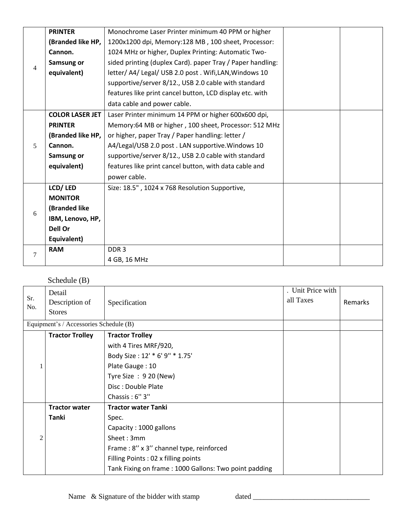|                | <b>PRINTER</b>         | Monochrome Laser Printer minimum 40 PPM or higher          |  |
|----------------|------------------------|------------------------------------------------------------|--|
|                | (Branded like HP,      | 1200x1200 dpi, Memory:128 MB, 100 sheet, Processor:        |  |
|                | Cannon.                | 1024 MHz or higher, Duplex Printing: Automatic Two-        |  |
|                | Samsung or             | sided printing (duplex Card). paper Tray / Paper handling: |  |
| 4              | equivalent)            | letter/ A4/ Legal/ USB 2.0 post . Wifi, LAN, Windows 10    |  |
|                |                        | supportive/server 8/12., USB 2.0 cable with standard       |  |
|                |                        | features like print cancel button, LCD display etc. with   |  |
|                |                        | data cable and power cable.                                |  |
|                | <b>COLOR LASER JET</b> | Laser Printer minimum 14 PPM or higher 600x600 dpi,        |  |
|                | <b>PRINTER</b>         | Memory:64 MB or higher, 100 sheet, Processor: 512 MHz      |  |
|                | (Branded like HP,      | or higher, paper Tray / Paper handling: letter /           |  |
| 5              | Cannon.                | A4/Legal/USB 2.0 post. LAN supportive. Windows 10          |  |
|                | Samsung or             | supportive/server 8/12., USB 2.0 cable with standard       |  |
|                | equivalent)            | features like print cancel button, with data cable and     |  |
|                |                        | power cable.                                               |  |
|                | LCD/LED                | Size: 18.5", 1024 x 768 Resolution Supportive,             |  |
|                | <b>MONITOR</b>         |                                                            |  |
| 6              | (Branded like          |                                                            |  |
|                | IBM, Lenovo, HP,       |                                                            |  |
|                | Dell Or                |                                                            |  |
|                | Equivalent)            |                                                            |  |
| $\overline{7}$ | <b>RAM</b>             | DDR <sub>3</sub>                                           |  |
|                |                        | 4 GB, 16 MHz                                               |  |

# Schedule (B)

| Sr.<br>No.     | Detail<br>Description of<br><b>Stores</b> | Specification                                         | . Unit Price with<br>all Taxes | Remarks |
|----------------|-------------------------------------------|-------------------------------------------------------|--------------------------------|---------|
|                | Equipment's / Accessories Schedule (B)    |                                                       |                                |         |
|                | <b>Tractor Trolley</b>                    | <b>Tractor Trolley</b>                                |                                |         |
|                |                                           | with 4 Tires MRF/920,                                 |                                |         |
|                |                                           | Body Size: 12' * 6' 9" * 1.75'                        |                                |         |
|                |                                           | Plate Gauge: 10                                       |                                |         |
|                |                                           | Tyre Size: 9 20 (New)                                 |                                |         |
|                |                                           | Disc: Double Plate                                    |                                |         |
|                |                                           | Chassis: 6"3"                                         |                                |         |
|                | <b>Tractor water</b>                      | <b>Tractor water Tanki</b>                            |                                |         |
|                | Tanki                                     | Spec.                                                 |                                |         |
|                |                                           | Capacity: 1000 gallons                                |                                |         |
| $\overline{c}$ |                                           | Sheet: 3mm                                            |                                |         |
|                |                                           | Frame: 8" x 3" channel type, reinforced               |                                |         |
|                |                                           | Filling Points: 02 x filling points                   |                                |         |
|                |                                           | Tank Fixing on frame: 1000 Gallons: Two point padding |                                |         |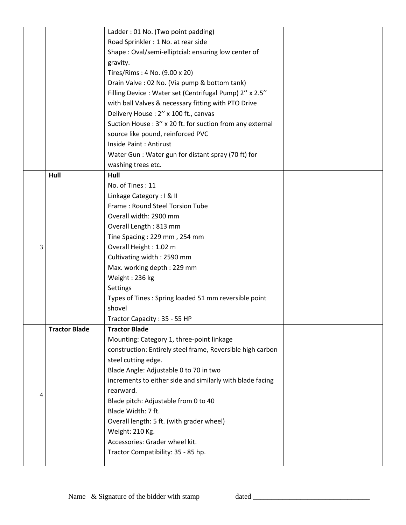|   |                      | Ladder: 01 No. (Two point padding)                         |  |
|---|----------------------|------------------------------------------------------------|--|
|   |                      | Road Sprinkler : 1 No. at rear side                        |  |
|   |                      | Shape: Oval/semi-elliptcial: ensuring low center of        |  |
|   |                      | gravity.                                                   |  |
|   |                      | Tires/Rims: 4 No. (9.00 x 20)                              |  |
|   |                      | Drain Valve : 02 No. (Via pump & bottom tank)              |  |
|   |                      | Filling Device: Water set (Centrifugal Pump) 2" x 2.5"     |  |
|   |                      | with ball Valves & necessary fitting with PTO Drive        |  |
|   |                      | Delivery House: 2" x 100 ft., canvas                       |  |
|   |                      | Suction House: 3" x 20 ft. for suction from any external   |  |
|   |                      | source like pound, reinforced PVC                          |  |
|   |                      | Inside Paint: Antirust                                     |  |
|   |                      | Water Gun : Water gun for distant spray (70 ft) for        |  |
|   |                      | washing trees etc.                                         |  |
|   | Hull                 | Hull                                                       |  |
|   |                      | No. of Tines: 11                                           |  |
|   |                      | Linkage Category: I & II                                   |  |
|   |                      | Frame: Round Steel Torsion Tube                            |  |
|   |                      | Overall width: 2900 mm                                     |  |
|   |                      | Overall Length: 813 mm                                     |  |
|   |                      | Tine Spacing: 229 mm, 254 mm                               |  |
| 3 |                      | Overall Height: 1.02 m                                     |  |
|   |                      | Cultivating width: 2590 mm                                 |  |
|   |                      | Max. working depth: 229 mm                                 |  |
|   |                      | Weight: 236 kg                                             |  |
|   |                      | Settings                                                   |  |
|   |                      | Types of Tines: Spring loaded 51 mm reversible point       |  |
|   |                      | shovel                                                     |  |
|   |                      | Tractor Capacity: 35 - 55 HP                               |  |
|   | <b>Tractor Blade</b> | <b>Tractor Blade</b>                                       |  |
|   |                      | Mounting: Category 1, three-point linkage                  |  |
|   |                      | construction: Entirely steel frame, Reversible high carbon |  |
|   |                      | steel cutting edge.                                        |  |
|   |                      | Blade Angle: Adjustable 0 to 70 in two                     |  |
|   |                      | increments to either side and similarly with blade facing  |  |
| 4 |                      | rearward.                                                  |  |
|   |                      | Blade pitch: Adjustable from 0 to 40                       |  |
|   |                      | Blade Width: 7 ft.                                         |  |
|   |                      | Overall length: 5 ft. (with grader wheel)                  |  |
|   |                      | Weight: 210 Kg.                                            |  |
|   |                      | Accessories: Grader wheel kit.                             |  |
|   |                      | Tractor Compatibility: 35 - 85 hp.                         |  |
|   |                      |                                                            |  |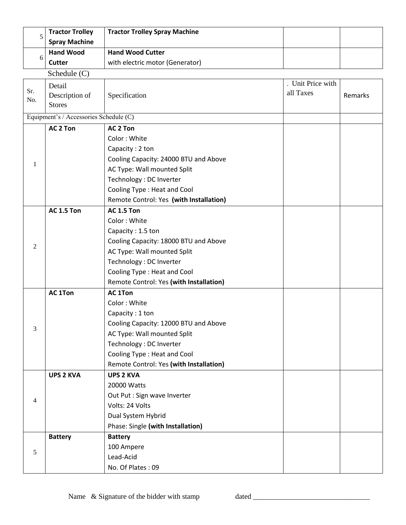| 5              | <b>Tractor Trolley</b>                 | <b>Tractor Trolley Spray Machine</b>    |                   |         |
|----------------|----------------------------------------|-----------------------------------------|-------------------|---------|
|                | <b>Spray Machine</b>                   |                                         |                   |         |
|                | <b>Hand Wood</b>                       | <b>Hand Wood Cutter</b>                 |                   |         |
| 6              | <b>Cutter</b>                          | with electric motor (Generator)         |                   |         |
|                | Schedule (C)                           |                                         |                   |         |
|                | Detail                                 |                                         | . Unit Price with |         |
| Sr.<br>No.     | Description of                         | Specification                           | all Taxes         | Remarks |
|                | <b>Stores</b>                          |                                         |                   |         |
|                | Equipment's / Accessories Schedule (C) |                                         |                   |         |
|                | AC <sub>2</sub> Ton                    | AC <sub>2</sub> Ton                     |                   |         |
|                |                                        | Color: White                            |                   |         |
|                |                                        | Capacity: 2 ton                         |                   |         |
|                |                                        | Cooling Capacity: 24000 BTU and Above   |                   |         |
| 1              |                                        | AC Type: Wall mounted Split             |                   |         |
|                |                                        | Technology : DC Inverter                |                   |         |
|                |                                        | Cooling Type: Heat and Cool             |                   |         |
|                |                                        | Remote Control: Yes (with Installation) |                   |         |
|                | <b>AC 1.5 Ton</b>                      | <b>AC 1.5 Ton</b>                       |                   |         |
|                |                                        | Color: White                            |                   |         |
|                |                                        | Capacity: 1.5 ton                       |                   |         |
| 2              |                                        | Cooling Capacity: 18000 BTU and Above   |                   |         |
|                |                                        | AC Type: Wall mounted Split             |                   |         |
|                |                                        | Technology : DC Inverter                |                   |         |
|                |                                        | Cooling Type: Heat and Cool             |                   |         |
|                |                                        | Remote Control: Yes (with Installation) |                   |         |
|                | <b>AC 1Ton</b>                         | <b>AC 1Ton</b>                          |                   |         |
|                |                                        | Color: White                            |                   |         |
|                |                                        | Capacity: 1 ton                         |                   |         |
| 3              |                                        | Cooling Capacity: 12000 BTU and Above   |                   |         |
|                |                                        | AC Type: Wall mounted Split             |                   |         |
|                |                                        | Technology : DC Inverter                |                   |         |
|                |                                        | Cooling Type: Heat and Cool             |                   |         |
|                |                                        | Remote Control: Yes (with Installation) |                   |         |
|                | <b>UPS 2 KVA</b>                       | <b>UPS 2 KVA</b>                        |                   |         |
|                |                                        | 20000 Watts                             |                   |         |
| $\overline{4}$ |                                        | Out Put : Sign wave Inverter            |                   |         |
|                |                                        | Volts: 24 Volts                         |                   |         |
|                |                                        | Dual System Hybrid                      |                   |         |
|                |                                        | Phase: Single (with Installation)       |                   |         |
|                | <b>Battery</b>                         | <b>Battery</b>                          |                   |         |
| 5              |                                        | 100 Ampere                              |                   |         |
|                |                                        | Lead-Acid                               |                   |         |
|                |                                        | No. Of Plates: 09                       |                   |         |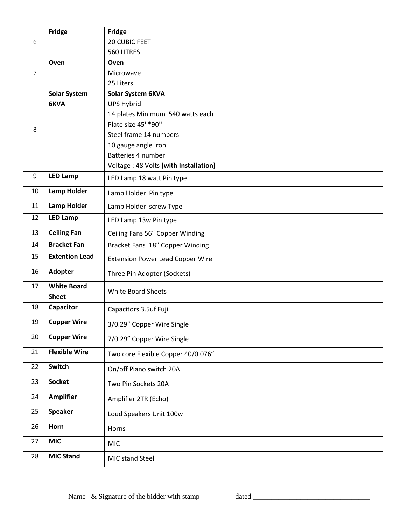|    | Fridge                             | <b>Fridge</b>                           |  |
|----|------------------------------------|-----------------------------------------|--|
| 6  |                                    | 20 CUBIC FEET                           |  |
|    |                                    | 560 LITRES                              |  |
|    | Oven                               | Oven                                    |  |
| 7  |                                    | Microwave                               |  |
|    |                                    | 25 Liters                               |  |
|    | <b>Solar System</b>                | Solar System 6KVA                       |  |
|    | 6KVA                               | <b>UPS Hybrid</b>                       |  |
|    |                                    | 14 plates Minimum 540 watts each        |  |
| 8  |                                    | Plate size 45"*90"                      |  |
|    |                                    | Steel frame 14 numbers                  |  |
|    |                                    | 10 gauge angle Iron                     |  |
|    |                                    | Batteries 4 number                      |  |
| 9  | <b>LED Lamp</b>                    | Voltage: 48 Volts (with Installation)   |  |
|    |                                    | LED Lamp 18 watt Pin type               |  |
| 10 | <b>Lamp Holder</b>                 | Lamp Holder Pin type                    |  |
| 11 | <b>Lamp Holder</b>                 | Lamp Holder screw Type                  |  |
| 12 | <b>LED Lamp</b>                    | LED Lamp 13w Pin type                   |  |
| 13 | <b>Ceiling Fan</b>                 | Ceiling Fans 56" Copper Winding         |  |
| 14 | <b>Bracket Fan</b>                 | Bracket Fans 18" Copper Winding         |  |
| 15 | <b>Extention Lead</b>              | <b>Extension Power Lead Copper Wire</b> |  |
| 16 | Adopter                            | Three Pin Adopter (Sockets)             |  |
| 17 | <b>White Board</b><br><b>Sheet</b> | White Board Sheets                      |  |
| 18 | Capacitor                          | Capacitors 3.5uf Fuji                   |  |
| 19 | <b>Copper Wire</b>                 | 3/0.29" Copper Wire Single              |  |
| 20 | <b>Copper Wire</b>                 | 7/0.29" Copper Wire Single              |  |
| 21 | <b>Flexible Wire</b>               | Two core Flexible Copper 40/0.076"      |  |
| 22 | Switch                             | On/off Piano switch 20A                 |  |
| 23 | <b>Socket</b>                      | Two Pin Sockets 20A                     |  |
| 24 | <b>Amplifier</b>                   | Amplifier 2TR (Echo)                    |  |
| 25 | <b>Speaker</b>                     | Loud Speakers Unit 100w                 |  |
| 26 | Horn                               | Horns                                   |  |
| 27 | <b>MIC</b>                         | <b>MIC</b>                              |  |
| 28 | <b>MIC Stand</b>                   | MIC stand Steel                         |  |